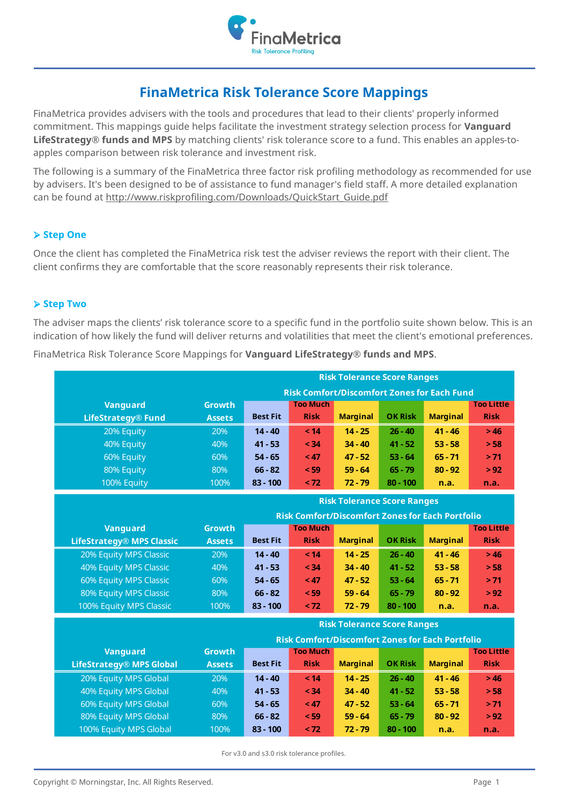

# **FinaMetrica Risk Tolerance Score Mappings**

FinaMetrica provides advisers with the tools and procedures that lead to their clients' properly informed commitment. This mappings guide helps facilitate the investment strategy selection process for **Vanguard LifeStrategy® funds and MPS** by matching clients' risk tolerance score to a fund. This enables an apples-toapples comparison between risk tolerance and investment risk.

The following is a summary of the FinaMetrica three factor risk profiling methodology as recommended for use by advisers. It's been designed to be of assistance to fund manager's field staff. A more detailed explanation can be found at http://www.riskprofiling.com/Downloads/QuickStart\_Guide.pdf

# ➢ **Step One**

Once the client has completed the FinaMetrica risk test the adviser reviews the report with their client. The client confirms they are comfortable that the score reasonably represents their risk tolerance.

# ➢ **Step Two**

The adviser maps the clients' risk tolerance score to a specific fund in the portfolio suite shown below. This is an indication of how likely the fund will deliver returns and volatilities that meet the client's emotional preferences.

| FinaMetrica Risk Tolerance Score Mappings for Vanguard LifeStrategy® funds and MPS. |  |  |  |
|-------------------------------------------------------------------------------------|--|--|--|
|                                                                                     |  |  |  |

|                                                    |                                    | <b>Risk Tolerance Score Ranges</b>                      |                 |                                    |                   |                 |                   |  |  |  |  |
|----------------------------------------------------|------------------------------------|---------------------------------------------------------|-----------------|------------------------------------|-------------------|-----------------|-------------------|--|--|--|--|
| <b>Risk Comfort/Discomfort Zones for Each Fund</b> |                                    |                                                         |                 |                                    |                   |                 |                   |  |  |  |  |
| <b>Vanguard</b>                                    | <b>Growth</b>                      |                                                         | <b>Too Much</b> |                                    |                   |                 | <b>Too Little</b> |  |  |  |  |
| <b>LifeStrategy® Fund</b>                          | <b>Assets</b>                      | <b>Best Fit</b>                                         | <b>Risk</b>     | <b>Marginal</b>                    | <b>OK Risk</b>    | <b>Marginal</b> | <b>Risk</b>       |  |  |  |  |
| 20% Equity                                         | 20%                                | $14 - 40$                                               | < 14            | $14 - 25$                          | $26 - 40$         | $41 - 46$       | >46               |  |  |  |  |
| 40% Equity                                         | 40%                                | $41 - 53$                                               | < 34            | $34 - 40$                          | $41 - 52$         | $53 - 58$       | > 58              |  |  |  |  |
| 60% Equity                                         | 60%                                | $54 - 65$                                               | < 47            | $47 - 52$                          | $53 - 64$         | $65 - 71$       | > 71              |  |  |  |  |
| 80% Equity                                         | 80%                                | $66 - 82$                                               | < 59            | $59 - 64$                          | $65 - 79$         | $80 - 92$       | > 92              |  |  |  |  |
| 100% Equity                                        | 100%                               | $83 - 100$                                              | $<$ 72          | $72 - 79$                          | $80 - 100$        | n.a.            | n.a.              |  |  |  |  |
|                                                    | <b>Risk Tolerance Score Ranges</b> |                                                         |                 |                                    |                   |                 |                   |  |  |  |  |
|                                                    |                                    | <b>Risk Comfort/Discomfort Zones for Each Portfolio</b> |                 |                                    |                   |                 |                   |  |  |  |  |
| <b>Vanguard</b>                                    | <b>Growth</b>                      |                                                         | <b>Too Much</b> |                                    |                   |                 | <b>Too Little</b> |  |  |  |  |
| <b>LifeStrategy® MPS Classic</b>                   | <b>Assets</b>                      | <b>Best Fit</b>                                         | <b>Risk</b>     | <b>Marginal</b>                    | <b>OK Risk</b>    | <b>Marginal</b> | <b>Risk</b>       |  |  |  |  |
| 20% Equity MPS Classic                             | 20%                                | $14 - 40$                                               | < 14            | $14 - 25$                          | $26 - 40$         | $41 - 46$       | >46               |  |  |  |  |
| 40% Equity MPS Classic                             | 40%                                | $41 - 53$                                               | < 34            | $34 - 40$                          | $41 - 52$         | $53 - 58$       | > 58              |  |  |  |  |
| <b>60% Equity MPS Classic</b>                      | 60%                                | $54 - 65$                                               | < 47            | $47 - 52$                          | $53 - 64$         | $65 - 71$       | > 71              |  |  |  |  |
| 80% Equity MPS Classic                             | 80%                                | $66 - 82$                                               | < 59            | $59 - 64$                          | $65 - 79$         | $80 - 92$       | > 92              |  |  |  |  |
| 100% Equity MPS Classic                            | 100%                               | $83 - 100$                                              | < 72            | $72 - 79$                          | $80 - 100$        | n.a.            | n.a.              |  |  |  |  |
|                                                    |                                    |                                                         |                 | <b>Risk Tolerance Score Ranges</b> |                   |                 |                   |  |  |  |  |
|                                                    |                                    | <b>Risk Comfort/Discomfort Zones for Each Portfolio</b> |                 |                                    |                   |                 |                   |  |  |  |  |
| <b>Vanguard</b>                                    | <b>Growth</b>                      | <b>Too Much</b>                                         |                 |                                    | <b>Too Little</b> |                 |                   |  |  |  |  |
| <b>LifeStrategy® MPS Global</b>                    | <b>Assets</b>                      | <b>Best Fit</b>                                         | <b>Risk</b>     | <b>Marginal</b>                    | <b>OK Risk</b>    | <b>Marginal</b> | <b>Risk</b>       |  |  |  |  |
| 20% Equity MPS Global                              | 20%                                | $14 - 40$                                               | < 14            | $14 - 25$                          | $26 - 40$         | $41 - 46$       | >46               |  |  |  |  |
| 40% Equity MPS Global                              | 40%                                | $41 - 53$                                               | < 34            | $34 - 40$                          | $41 - 52$         | $53 - 58$       | > 58              |  |  |  |  |
| 60% Equity MPS Global                              | 60%                                | $54 - 65$                                               | < 47            | $47 - 52$                          | $53 - 64$         | $65 - 71$       | > 71              |  |  |  |  |
| 80% Equity MPS Global                              | 80%                                | $66 - 82$                                               | < 59            | $59 - 64$                          | $65 - 79$         | $80 - 92$       | > 92              |  |  |  |  |
| 100% Equity MPS Global                             | 100%                               | $83 - 100$                                              | < 72            | $72 - 79$                          | $80 - 100$        | n.a.            | n.a.              |  |  |  |  |

For v3.0 and s3.0 risk tolerance profiles.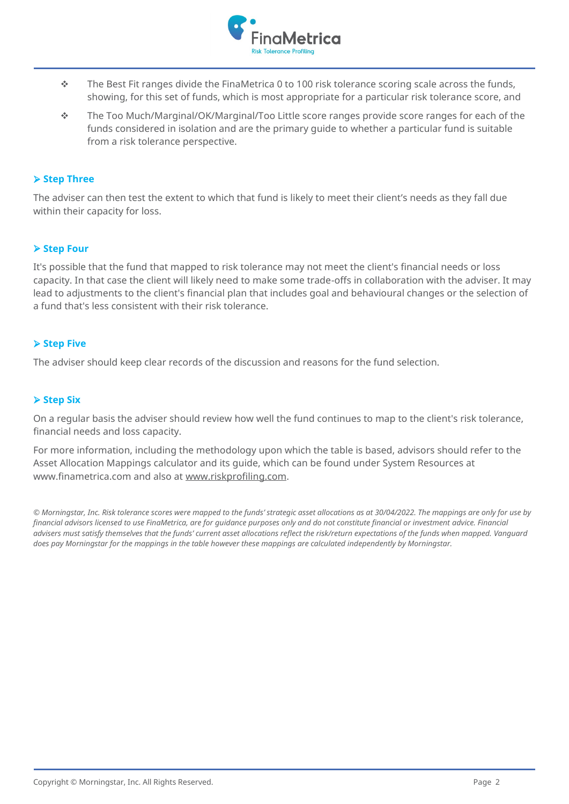

- $\cdot \cdot$  The Best Fit ranges divide the FinaMetrica 0 to 100 risk tolerance scoring scale across the funds, showing, for this set of funds, which is most appropriate for a particular risk tolerance score, and
- ❖ The Too Much/Marginal/OK/Marginal/Too Little score ranges provide score ranges for each of the funds considered in isolation and are the primary guide to whether a particular fund is suitable from a risk tolerance perspective.

#### ➢ **Step Three**

The adviser can then test the extent to which that fund is likely to meet their client's needs as they fall due within their capacity for loss.

#### ➢ **Step Four**

It's possible that the fund that mapped to risk tolerance may not meet the client's financial needs or loss capacity. In that case the client will likely need to make some trade-offs in collaboration with the adviser. It may lead to adjustments to the client's financial plan that includes goal and behavioural changes or the selection of a fund that's less consistent with their risk tolerance.

### ➢ **Step Five**

The adviser should keep clear records of the discussion and reasons for the fund selection.

#### ➢ **Step Six**

On a regular basis the adviser should review how well the fund continues to map to the client's risk tolerance, financial needs and loss capacity.

For more information, including the methodology upon which the table is based, advisors should refer to the Asset Allocation Mappings calculator and its guide, which can be found under System Resources at www.finametrica.com and also at www.riskprofiling.com.

© Morningstar, Inc. Risk tolerance scores were mapped to the funds' strategic asset allocations as at 30/04/2022. The mappings are only for use by *financial advisors licensed to use FinaMetrica, are for guidance purposes only and do not constitute financial or investment advice. Financial advisers must satisfy themselves that the funds' current asset allocations reflect the risk/return expectations of the funds when mapped. Vanguard does pay Morningstar for the mappings in the table however these mappings are calculated independently by Morningstar.*